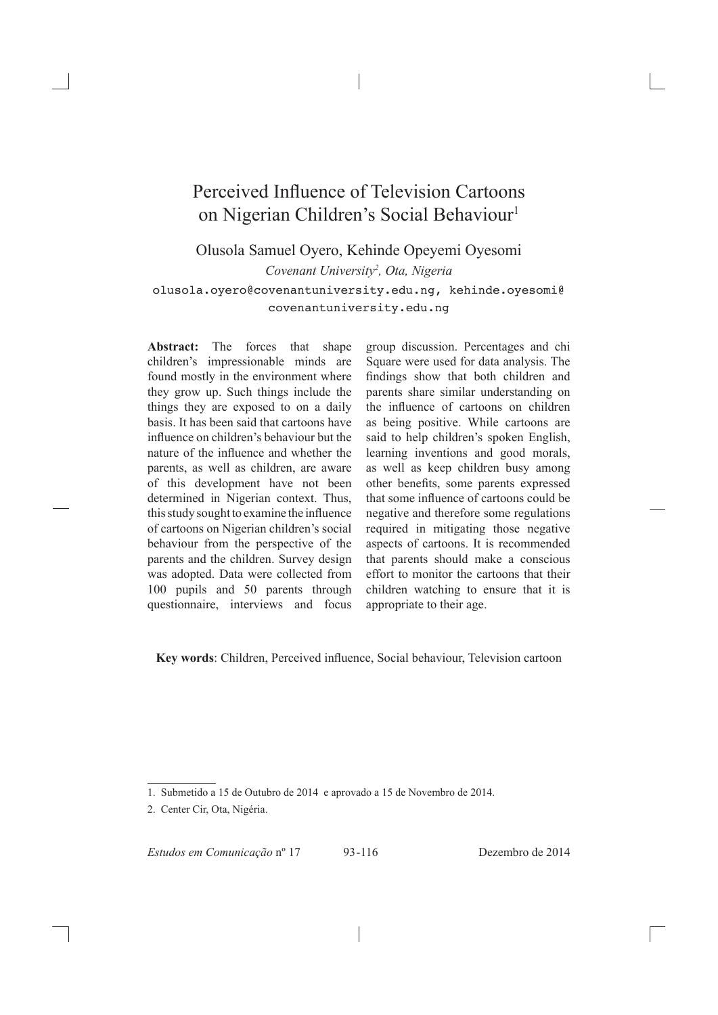# Perceived Influence of Television Cartoons on Nigerian Children's Social Behaviour<sup>1</sup>

Olusola Samuel Oyero, Kehinde Opeyemi Oyesomi *Covenant University2 , Ota, Nigeria* olusola.oyero@covenantuniversity.edu.ng, kehinde.oyesomi@ covenantuniversity.edu.ng

**Abstract:** The forces that shape children's impressionable minds are found mostly in the environment where they grow up. Such things include the things they are exposed to on a daily basis. It has been said that cartoons have influence on children's behaviour but the nature of the influence and whether the parents, as well as children, are aware of this development have not been determined in Nigerian context. Thus, this study sought to examine the influence of cartoons on Nigerian children's social behaviour from the perspective of the parents and the children. Survey design was adopted. Data were collected from 100 pupils and 50 parents through questionnaire, interviews and focus

group discussion. Percentages and chi Square were used for data analysis. The findings show that both children and parents share similar understanding on the influence of cartoons on children as being positive. While cartoons are said to help children's spoken English, learning inventions and good morals, as well as keep children busy among other benefits, some parents expressed that some influence of cartoons could be negative and therefore some regulations required in mitigating those negative aspects of cartoons. It is recommended that parents should make a conscious effort to monitor the cartoons that their children watching to ensure that it is appropriate to their age.

**Key words**: Children, Perceived influence, Social behaviour, Television cartoon

*Estudos em Comunicação* nº 17 93 -116 Dezembro de 2014

<sup>1.</sup> Submetido a 15 de Outubro de 2014 e aprovado a 15 de Novembro de 2014.

<sup>2.</sup> Center Cir, Ota, Nigéria.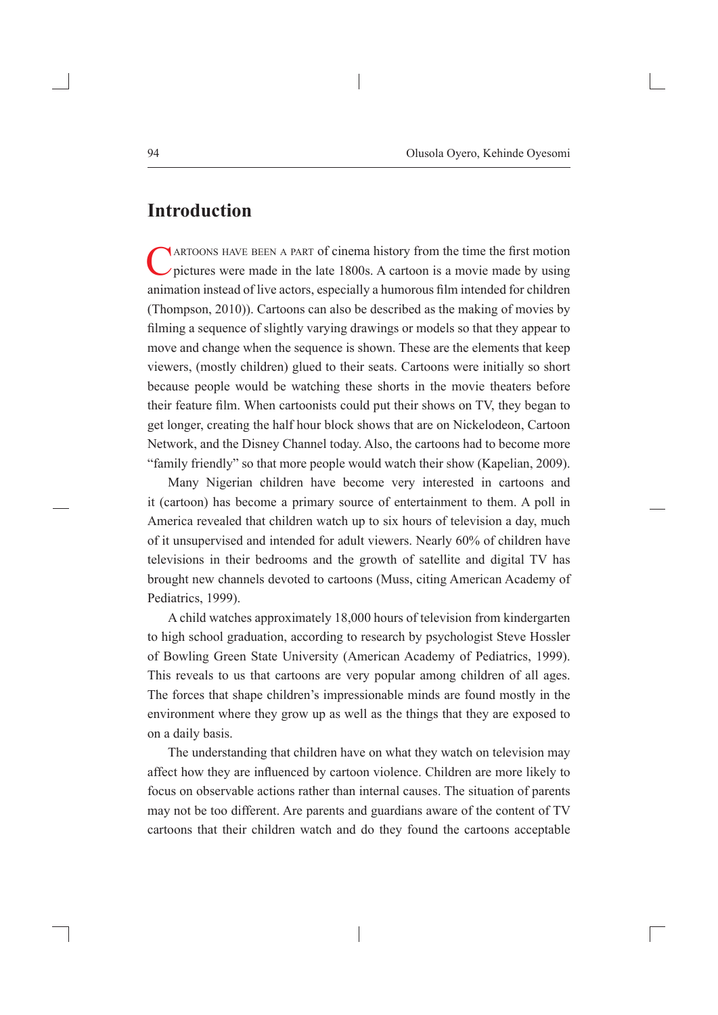#### **Introduction**

NARTOONS HAVE BEEN A PART of cinema history from the time the first motion  $\nu$  pictures were made in the late 1800s. A cartoon is a movie made by using animation instead of live actors, especially a humorous film intended for children (Thompson, 2010)). Cartoons can also be described as the making of movies by filming a sequence of slightly varying drawings or models so that they appear to move and change when the sequence is shown. These are the elements that keep viewers, (mostly children) glued to their seats. Cartoons were initially so short because people would be watching these shorts in the movie theaters before their feature film. When cartoonists could put their shows on TV, they began to get longer, creating the half hour block shows that are on Nickelodeon, Cartoon Network, and the Disney Channel today. Also, the cartoons had to become more "family friendly" so that more people would watch their show (Kapelian, 2009).

Many Nigerian children have become very interested in cartoons and it (cartoon) has become a primary source of entertainment to them. A poll in America revealed that children watch up to six hours of television a day, much of it unsupervised and intended for adult viewers. Nearly 60% of children have televisions in their bedrooms and the growth of satellite and digital TV has brought new channels devoted to cartoons (Muss, citing American Academy of Pediatrics, 1999).

A child watches approximately 18,000 hours of television from kindergarten to high school graduation, according to research by psychologist Steve Hossler of Bowling Green State University (American Academy of Pediatrics, 1999). This reveals to us that cartoons are very popular among children of all ages. The forces that shape children's impressionable minds are found mostly in the environment where they grow up as well as the things that they are exposed to on a daily basis.

The understanding that children have on what they watch on television may affect how they are influenced by cartoon violence. Children are more likely to focus on observable actions rather than internal causes. The situation of parents may not be too different. Are parents and guardians aware of the content of TV cartoons that their children watch and do they found the cartoons acceptable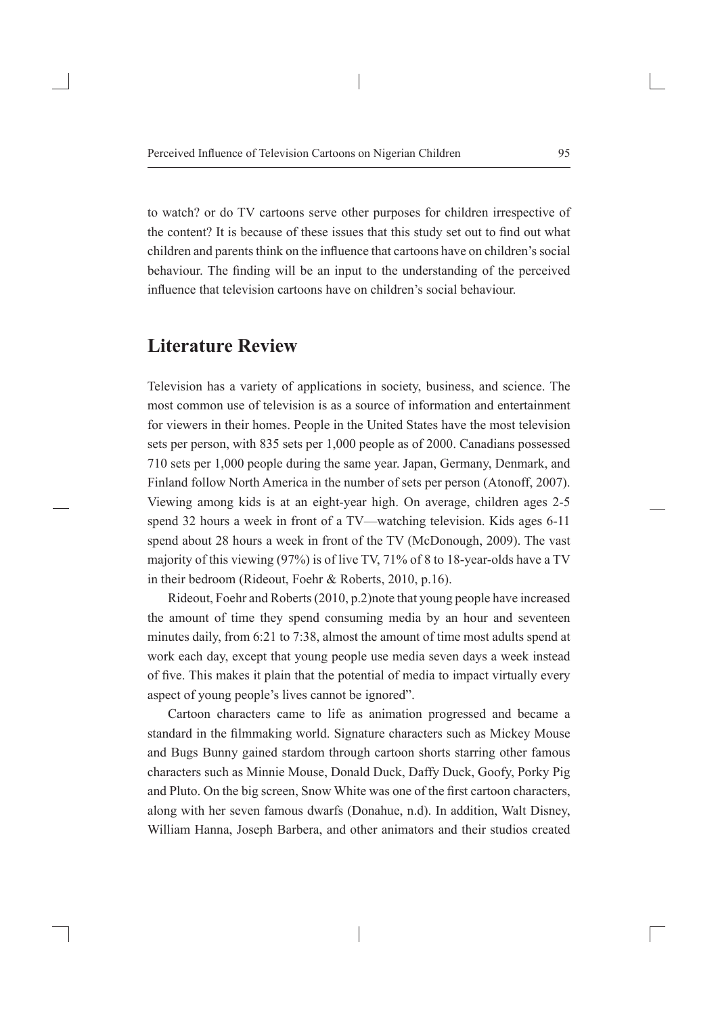to watch? or do TV cartoons serve other purposes for children irrespective of the content? It is because of these issues that this study set out to find out what children and parents think on the influence that cartoons have on children's social behaviour. The finding will be an input to the understanding of the perceived influence that television cartoons have on children's social behaviour.

## **Literature Review**

Television has a variety of applications in society, business, and science. The most common use of television is as a source of information and entertainment for viewers in their homes. People in the United States have the most television sets per person, with 835 sets per 1,000 people as of 2000. Canadians possessed 710 sets per 1,000 people during the same year. Japan, Germany, Denmark, and Finland follow North America in the number of sets per person (Atonoff, 2007). Viewing among kids is at an eight-year high. On average, children ages 2-5 spend 32 hours a week in front of a TV—watching television. Kids ages 6-11 spend about 28 hours a week in front of the TV (McDonough, 2009). The vast majority of this viewing (97%) is of live TV, 71% of 8 to 18-year-olds have a TV in their bedroom (Rideout, Foehr & Roberts, 2010, p.16).

Rideout, Foehr and Roberts (2010, p.2)note that young people have increased the amount of time they spend consuming media by an hour and seventeen minutes daily, from 6:21 to 7:38, almost the amount of time most adults spend at work each day, except that young people use media seven days a week instead of five. This makes it plain that the potential of media to impact virtually every aspect of young people's lives cannot be ignored".

Cartoon characters came to life as animation progressed and became a standard in the filmmaking world. Signature characters such as Mickey Mouse and Bugs Bunny gained stardom through cartoon shorts starring other famous characters such as Minnie Mouse, Donald Duck, Daffy Duck, Goofy, Porky Pig and Pluto. On the big screen, Snow White was one of the first cartoon characters, along with her seven famous dwarfs (Donahue, n.d). In addition, Walt Disney, William Hanna, Joseph Barbera, and other animators and their studios created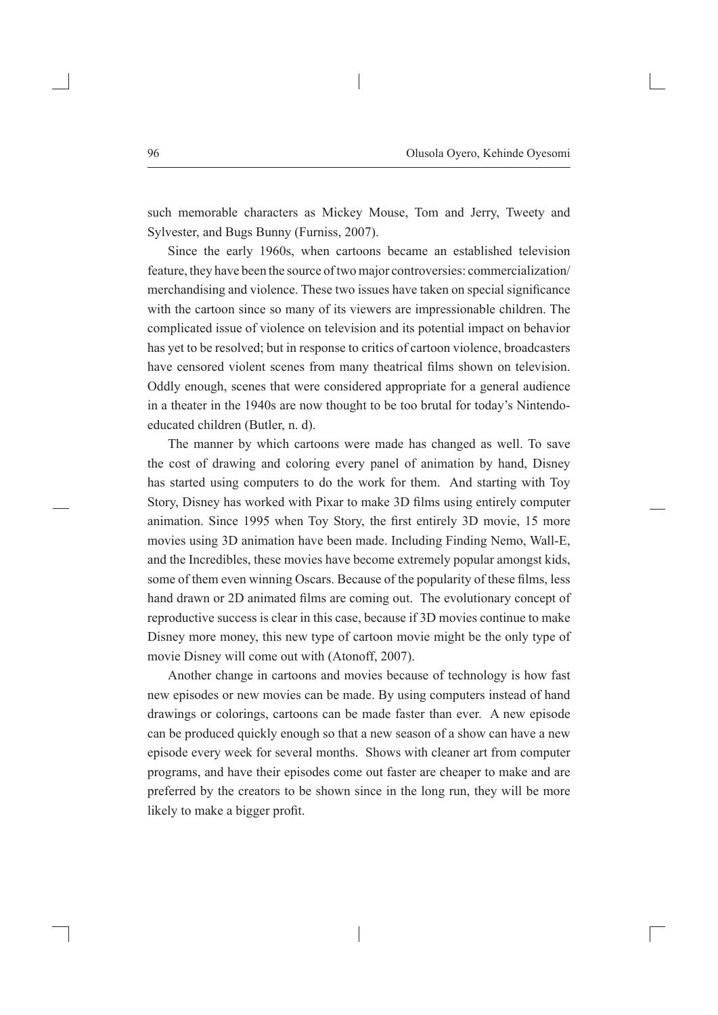such memorable characters as Mickey Mouse, Tom and Jerry, Tweety and Sylvester, and Bugs Bunny (Furniss, 2007).

Since the early 1960s, when cartoons became an established television feature, they have been the source of two major controversies: commercialization/ merchandising and violence. These two issues have taken on special significance with the cartoon since so many of its viewers are impressionable children. The complicated issue of violence on television and its potential impact on behavior has yet to be resolved; but in response to critics of cartoon violence, broadcasters have censored violent scenes from many theatrical films shown on television. Oddly enough, scenes that were considered appropriate for a general audience in a theater in the 1940s are now thought to be too brutal for today's Nintendoeducated children (Butler, n. d).

The manner by which cartoons were made has changed as well. To save the cost of drawing and coloring every panel of animation by hand, Disney has started using computers to do the work for them. And starting with Toy Story, Disney has worked with Pixar to make 3D films using entirely computer animation. Since 1995 when Toy Story, the first entirely 3D movie, 15 more movies using 3D animation have been made. Including Finding Nemo, Wall-E, and the Incredibles, these movies have become extremely popular amongst kids, some of them even winning Oscars. Because of the popularity of these films, less hand drawn or 2D animated films are coming out. The evolutionary concept of reproductive success is clear in this case, because if 3D movies continue to make Disney more money, this new type of cartoon movie might be the only type of movie Disney will come out with (Atonoff, 2007).

Another change in cartoons and movies because of technology is how fast new episodes or new movies can be made. By using computers instead of hand drawings or colorings, cartoons can be made faster than ever. A new episode can be produced quickly enough so that a new season of a show can have a new episode every week for several months. Shows with cleaner art from computer programs, and have their episodes come out faster are cheaper to make and are preferred by the creators to be shown since in the long run, they will be more likely to make a bigger profit.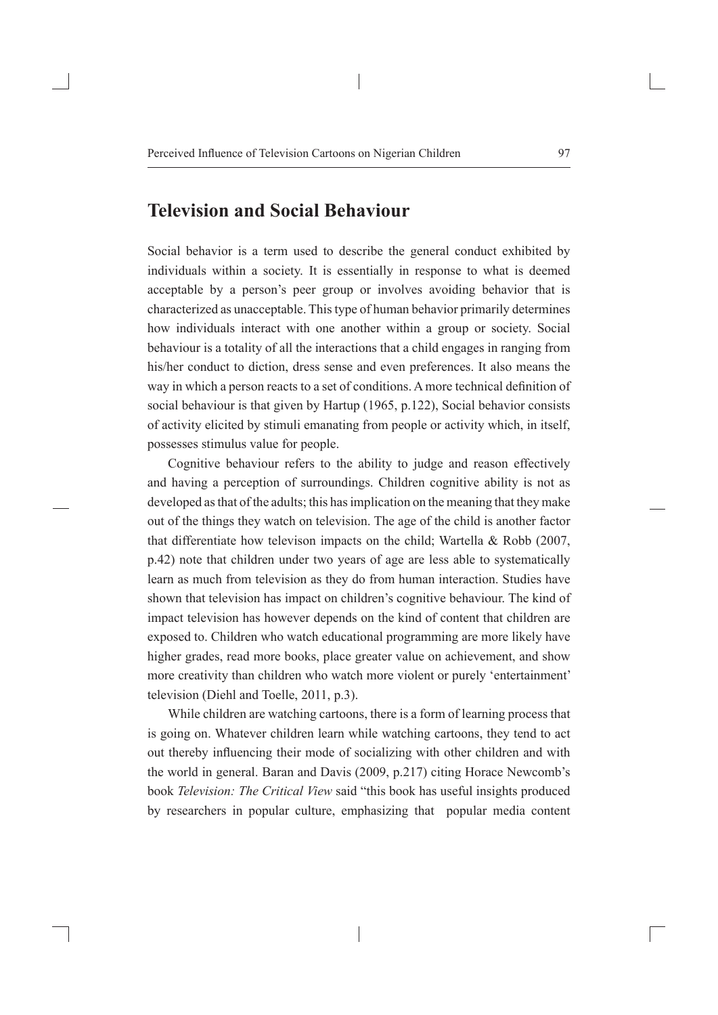## **Television and Social Behaviour**

Social behavior is a term used to describe the general conduct exhibited by individuals within a society. It is essentially in response to what is deemed acceptable by a person's peer group or involves avoiding behavior that is characterized as unacceptable. This type of human behavior primarily determines how individuals interact with one another within a group or society. Social behaviour is a totality of all the interactions that a child engages in ranging from his/her conduct to diction, dress sense and even preferences. It also means the way in which a person reacts to a set of conditions. A more technical definition of social behaviour is that given by Hartup (1965, p.122), Social behavior consists of activity elicited by stimuli emanating from people or activity which, in itself, possesses stimulus value for people.

Cognitive behaviour refers to the ability to judge and reason effectively and having a perception of surroundings. Children cognitive ability is not as developed as that of the adults; this has implication on the meaning that they make out of the things they watch on television. The age of the child is another factor that differentiate how televison impacts on the child; Wartella & Robb (2007, p.42) note that children under two years of age are less able to systematically learn as much from television as they do from human interaction. Studies have shown that television has impact on children's cognitive behaviour. The kind of impact television has however depends on the kind of content that children are exposed to. Children who watch educational programming are more likely have higher grades, read more books, place greater value on achievement, and show more creativity than children who watch more violent or purely 'entertainment' television (Diehl and Toelle, 2011, p.3).

While children are watching cartoons, there is a form of learning process that is going on. Whatever children learn while watching cartoons, they tend to act out thereby influencing their mode of socializing with other children and with the world in general. Baran and Davis (2009, p.217) citing Horace Newcomb's book *Television: The Critical View* said "this book has useful insights produced by researchers in popular culture, emphasizing that popular media content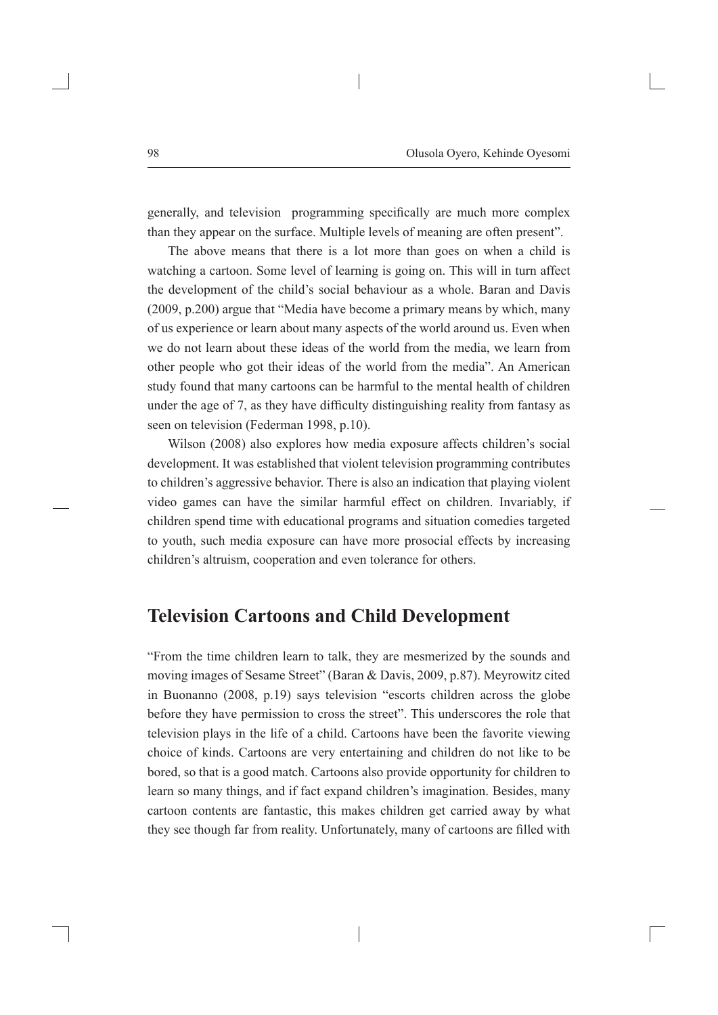generally, and television programming specifically are much more complex than they appear on the surface. Multiple levels of meaning are often present".

The above means that there is a lot more than goes on when a child is watching a cartoon. Some level of learning is going on. This will in turn affect the development of the child's social behaviour as a whole. Baran and Davis (2009, p.200) argue that "Media have become a primary means by which, many of us experience or learn about many aspects of the world around us. Even when we do not learn about these ideas of the world from the media, we learn from other people who got their ideas of the world from the media". An American study found that many cartoons can be harmful to the mental health of children under the age of 7, as they have difficulty distinguishing reality from fantasy as seen on television (Federman 1998, p.10).

Wilson (2008) also explores how media exposure affects children's social development. It was established that violent television programming contributes to children's aggressive behavior. There is also an indication that playing violent video games can have the similar harmful effect on children. Invariably, if children spend time with educational programs and situation comedies targeted to youth, such media exposure can have more prosocial effects by increasing children's altruism, cooperation and even tolerance for others.

## **Television Cartoons and Child Development**

"From the time children learn to talk, they are mesmerized by the sounds and moving images of Sesame Street" (Baran & Davis, 2009, p.87). Meyrowitz cited in Buonanno (2008, p.19) says television "escorts children across the globe before they have permission to cross the street". This underscores the role that television plays in the life of a child. Cartoons have been the favorite viewing choice of kinds. Cartoons are very entertaining and children do not like to be bored, so that is a good match. Cartoons also provide opportunity for children to learn so many things, and if fact expand children's imagination. Besides, many cartoon contents are fantastic, this makes children get carried away by what they see though far from reality. Unfortunately, many of cartoons are filled with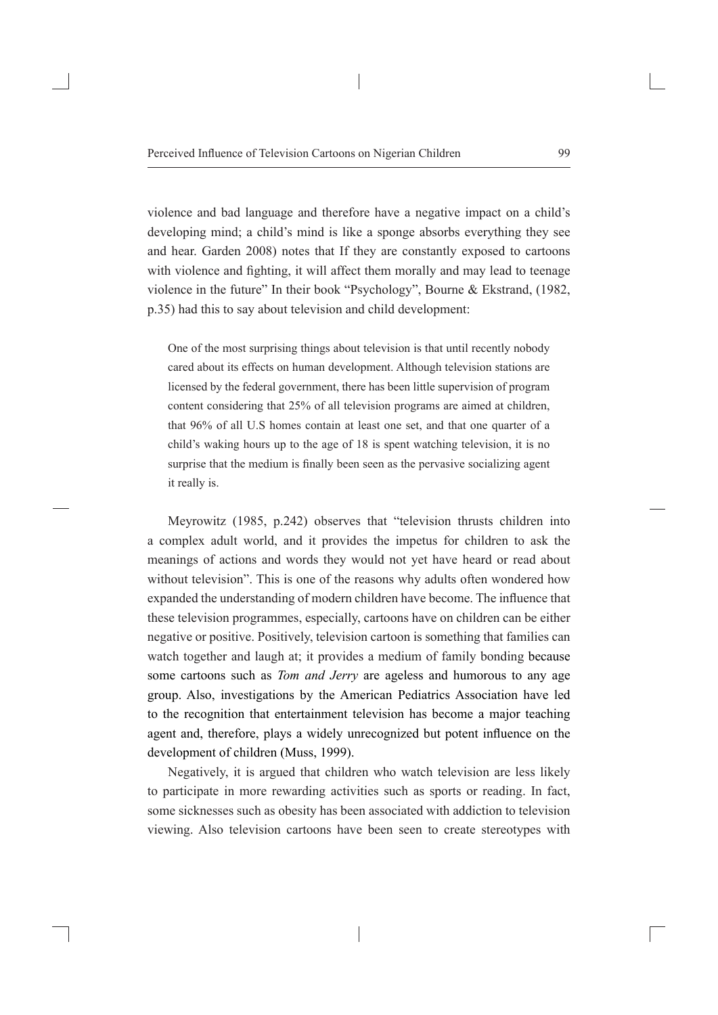violence and bad language and therefore have a negative impact on a child's developing mind; a child's mind is like a sponge absorbs everything they see and hear. Garden 2008) notes that If they are constantly exposed to cartoons with violence and fighting, it will affect them morally and may lead to teenage violence in the future" In their book "Psychology", Bourne & Ekstrand, (1982, p.35) had this to say about television and child development:

One of the most surprising things about television is that until recently nobody cared about its effects on human development. Although television stations are licensed by the federal government, there has been little supervision of program content considering that 25% of all television programs are aimed at children, that 96% of all U.S homes contain at least one set, and that one quarter of a child's waking hours up to the age of 18 is spent watching television, it is no surprise that the medium is finally been seen as the pervasive socializing agent it really is.

Meyrowitz (1985, p.242) observes that "television thrusts children into a complex adult world, and it provides the impetus for children to ask the meanings of actions and words they would not yet have heard or read about without television". This is one of the reasons why adults often wondered how expanded the understanding of modern children have become. The influence that these television programmes, especially, cartoons have on children can be either negative or positive. Positively, television cartoon is something that families can watch together and laugh at; it provides a medium of family bonding because some cartoons such as *Tom and Jerry* are ageless and humorous to any age group. Also, investigations by the American Pediatrics Association have led to the recognition that entertainment television has become a major teaching agent and, therefore, plays a widely unrecognized but potent influence on the development of children (Muss, 1999).

Negatively, it is argued that children who watch television are less likely to participate in more rewarding activities such as sports or reading. In fact, some sicknesses such as obesity has been associated with addiction to television viewing. Also television cartoons have been seen to create stereotypes with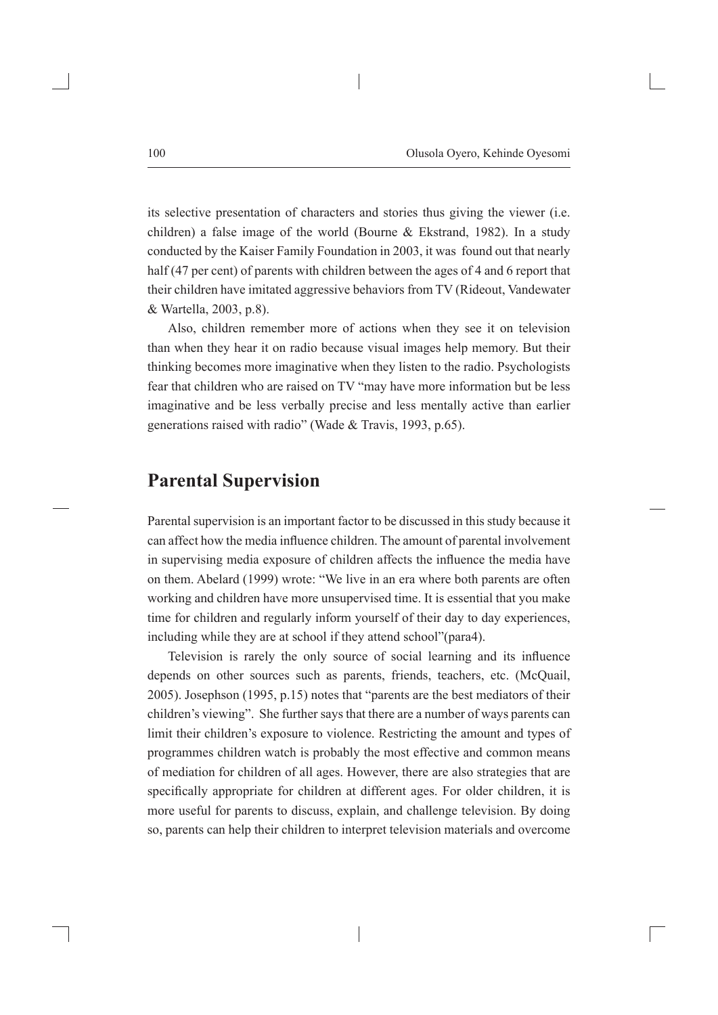its selective presentation of characters and stories thus giving the viewer (i.e. children) a false image of the world (Bourne & Ekstrand, 1982). In a study conducted by the Kaiser Family Foundation in 2003, it was found out that nearly half (47 per cent) of parents with children between the ages of 4 and 6 report that their children have imitated aggressive behaviors from TV (Rideout, Vandewater & Wartella, 2003, p.8).

Also, children remember more of actions when they see it on television than when they hear it on radio because visual images help memory. But their thinking becomes more imaginative when they listen to the radio. Psychologists fear that children who are raised on TV "may have more information but be less imaginative and be less verbally precise and less mentally active than earlier generations raised with radio" (Wade & Travis, 1993, p.65).

#### **Parental Supervision**

Parental supervision is an important factor to be discussed in this study because it can affect how the media influence children. The amount of parental involvement in supervising media exposure of children affects the influence the media have on them. Abelard (1999) wrote: "We live in an era where both parents are often working and children have more unsupervised time. It is essential that you make time for children and regularly inform yourself of their day to day experiences, including while they are at school if they attend school"(para4).

Television is rarely the only source of social learning and its influence depends on other sources such as parents, friends, teachers, etc. (McQuail, 2005). Josephson (1995, p.15) notes that "parents are the best mediators of their children's viewing". She further says that there are a number of ways parents can limit their children's exposure to violence. Restricting the amount and types of programmes children watch is probably the most effective and common means of mediation for children of all ages. However, there are also strategies that are specifically appropriate for children at different ages. For older children, it is more useful for parents to discuss, explain, and challenge television. By doing so, parents can help their children to interpret television materials and overcome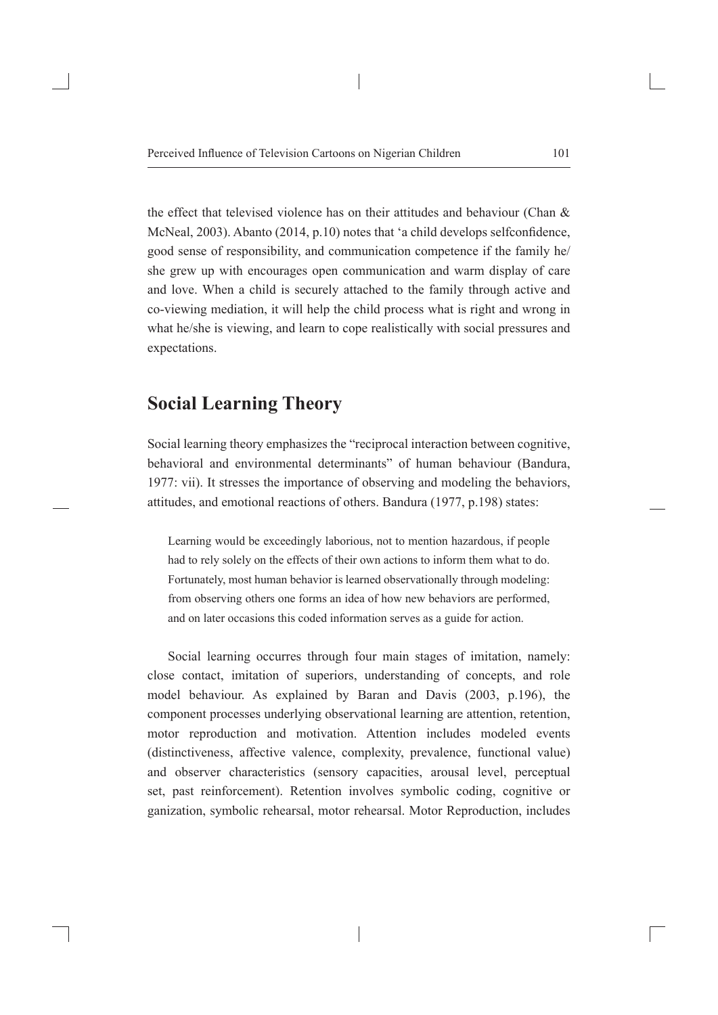the effect that televised violence has on their attitudes and behaviour (Chan & McNeal, 2003). Abanto (2014, p.10) notes that 'a child develops selfconfidence, good sense of responsibility, and communication competence if the family he/ she grew up with encourages open communication and warm display of care and love. When a child is securely attached to the family through active and co-viewing mediation, it will help the child process what is right and wrong in what he/she is viewing, and learn to cope realistically with social pressures and expectations.

## **Social Learning Theory**

Social learning theory emphasizes the "reciprocal interaction between cognitive, behavioral and environmental determinants" of human behaviour (Bandura, 1977: vii). It stresses the importance of observing and modeling the behaviors, attitudes, and emotional reactions of others. Bandura (1977, p.198) states:

Learning would be exceedingly laborious, not to mention hazardous, if people had to rely solely on the effects of their own actions to inform them what to do. Fortunately, most human behavior is learned observationally through modeling: from observing others one forms an idea of how new behaviors are performed, and on later occasions this coded information serves as a guide for action.

Social learning occurres through four main stages of imitation, namely: close contact, imitation of superiors, understanding of concepts, and role model behaviour. As explained by Baran and Davis (2003, p.196), the component processes underlying observational learning are attention, retention, motor reproduction and motivation. Attention includes modeled events (distinctiveness, affective valence, complexity, prevalence, functional value) and observer characteristics (sensory capacities, arousal level, perceptual set, past reinforcement). Retention involves symbolic coding, cognitive or ganization, symbolic rehearsal, motor rehearsal. Motor Reproduction, includes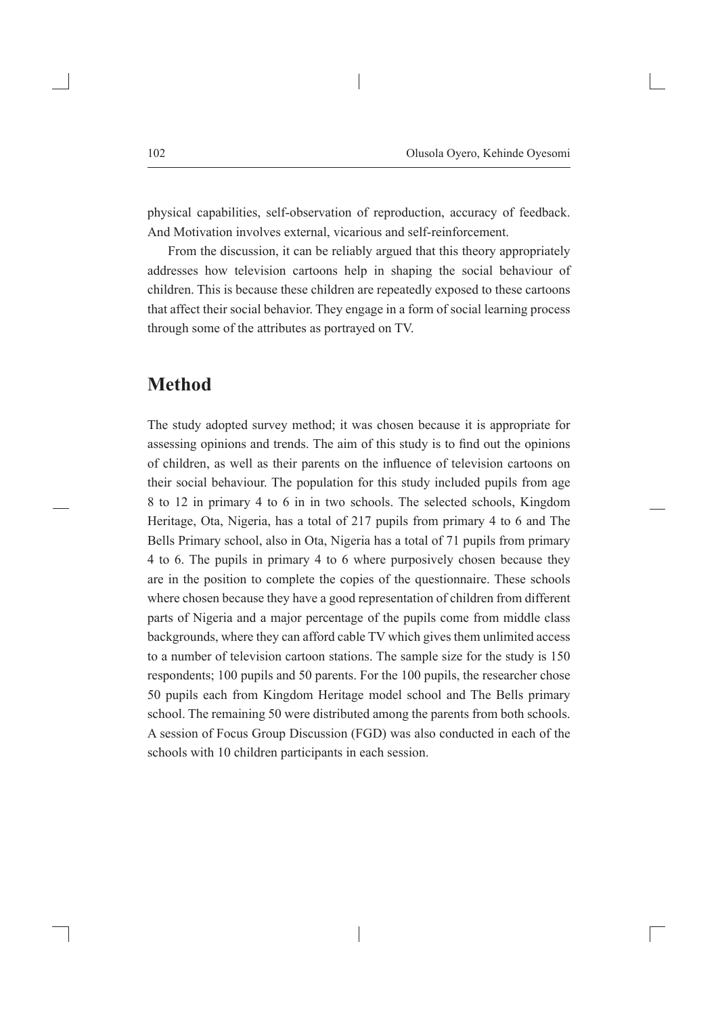physical capabilities, self-observation of reproduction, accuracy of feedback. And Motivation involves external, vicarious and self-reinforcement.

From the discussion, it can be reliably argued that this theory appropriately addresses how television cartoons help in shaping the social behaviour of children. This is because these children are repeatedly exposed to these cartoons that affect their social behavior. They engage in a form of social learning process through some of the attributes as portrayed on TV.

## **Method**

The study adopted survey method; it was chosen because it is appropriate for assessing opinions and trends. The aim of this study is to find out the opinions of children, as well as their parents on the influence of television cartoons on their social behaviour. The population for this study included pupils from age 8 to 12 in primary 4 to 6 in in two schools. The selected schools, Kingdom Heritage, Ota, Nigeria, has a total of 217 pupils from primary 4 to 6 and The Bells Primary school, also in Ota, Nigeria has a total of 71 pupils from primary 4 to 6. The pupils in primary 4 to 6 where purposively chosen because they are in the position to complete the copies of the questionnaire. These schools where chosen because they have a good representation of children from different parts of Nigeria and a major percentage of the pupils come from middle class backgrounds, where they can afford cable TV which gives them unlimited access to a number of television cartoon stations. The sample size for the study is 150 respondents; 100 pupils and 50 parents. For the 100 pupils, the researcher chose 50 pupils each from Kingdom Heritage model school and The Bells primary school. The remaining 50 were distributed among the parents from both schools. A session of Focus Group Discussion (FGD) was also conducted in each of the schools with 10 children participants in each session.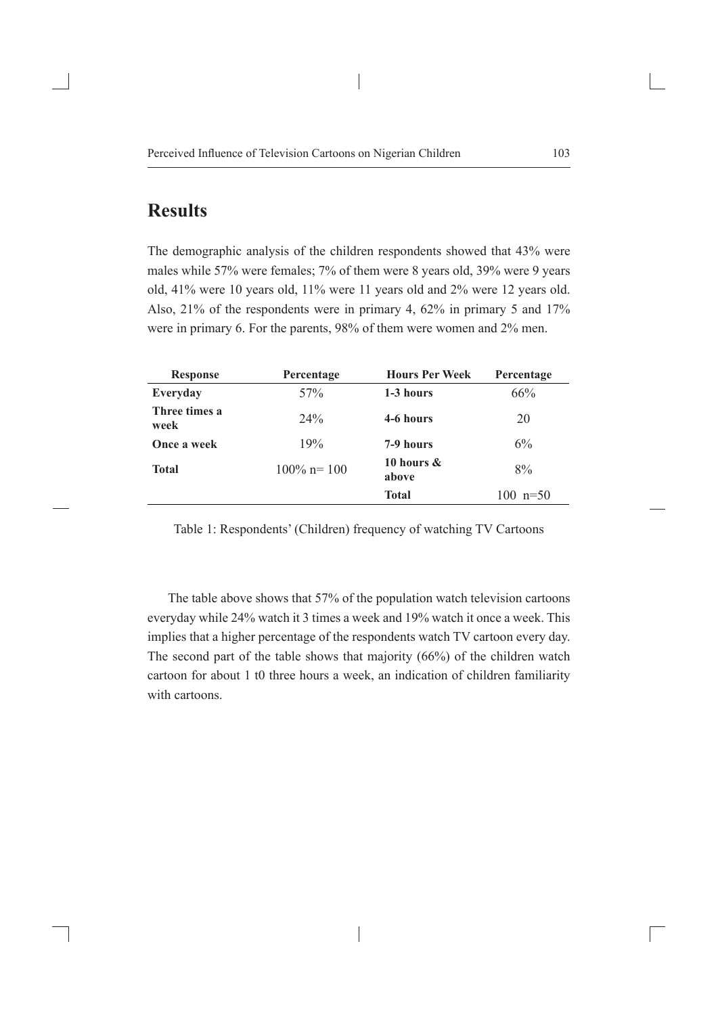# **Results**

The demographic analysis of the children respondents showed that 43% were males while 57% were females; 7% of them were 8 years old, 39% were 9 years old, 41% were 10 years old, 11% were 11 years old and 2% were 12 years old. Also, 21% of the respondents were in primary 4, 62% in primary 5 and 17% were in primary 6. For the parents, 98% of them were women and 2% men.

| <b>Response</b>       | Percentage      | <b>Hours Per Week</b>  | Percentage   |
|-----------------------|-----------------|------------------------|--------------|
| Everyday              | 57 <sub>%</sub> | 1-3 hours              | 66%          |
| Three times a<br>week | 24%             | 4-6 hours              | 20           |
| Once a week           | 19%             | 7-9 hours              | 6%           |
| <b>Total</b>          | $100\%$ n= 100  | 10 hours $\&$<br>above | 8%           |
|                       |                 | <b>Total</b>           | $100 n = 50$ |

Table 1: Respondents' (Children) frequency of watching TV Cartoons

The table above shows that 57% of the population watch television cartoons everyday while 24% watch it 3 times a week and 19% watch it once a week. This implies that a higher percentage of the respondents watch TV cartoon every day. The second part of the table shows that majority (66%) of the children watch cartoon for about 1 t0 three hours a week, an indication of children familiarity with cartoons.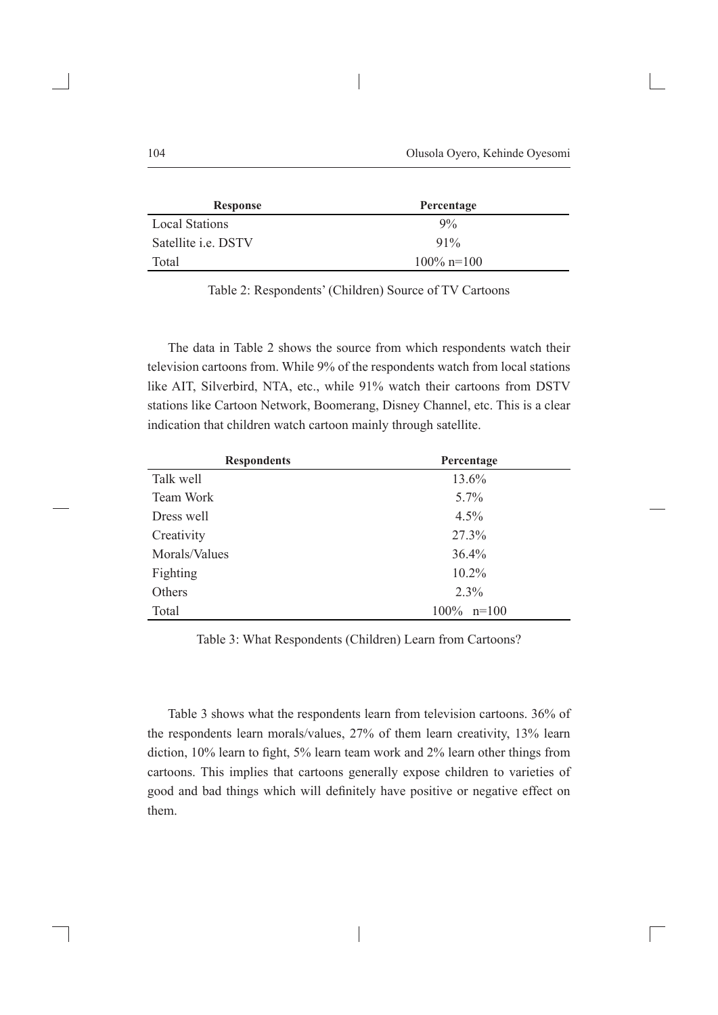| <b>Response</b>            | Percentage    |
|----------------------------|---------------|
| <b>Local Stations</b>      | $9\%$         |
| Satellite <i>i.e.</i> DSTV | $91\%$        |
| Total                      | $100\%$ n=100 |

Table 2: Respondents' (Children) Source of TV Cartoons

The data in Table 2 shows the source from which respondents watch their television cartoons from. While 9% of the respondents watch from local stations like AIT, Silverbird, NTA, etc., while 91% watch their cartoons from DSTV stations like Cartoon Network, Boomerang, Disney Channel, etc. This is a clear indication that children watch cartoon mainly through satellite.

| <b>Respondents</b> | Percentage    |
|--------------------|---------------|
| Talk well          | 13.6%         |
| Team Work          | $5.7\%$       |
| Dress well         | $4.5\%$       |
| Creativity         | 27.3%         |
| Morals/Values      | 36.4%         |
| Fighting           | $10.2\%$      |
| Others             | 2.3%          |
| Total              | $100\%$ n=100 |

Table 3: What Respondents (Children) Learn from Cartoons?

Table 3 shows what the respondents learn from television cartoons. 36% of the respondents learn morals/values, 27% of them learn creativity, 13% learn diction, 10% learn to fight, 5% learn team work and 2% learn other things from cartoons. This implies that cartoons generally expose children to varieties of good and bad things which will definitely have positive or negative effect on them.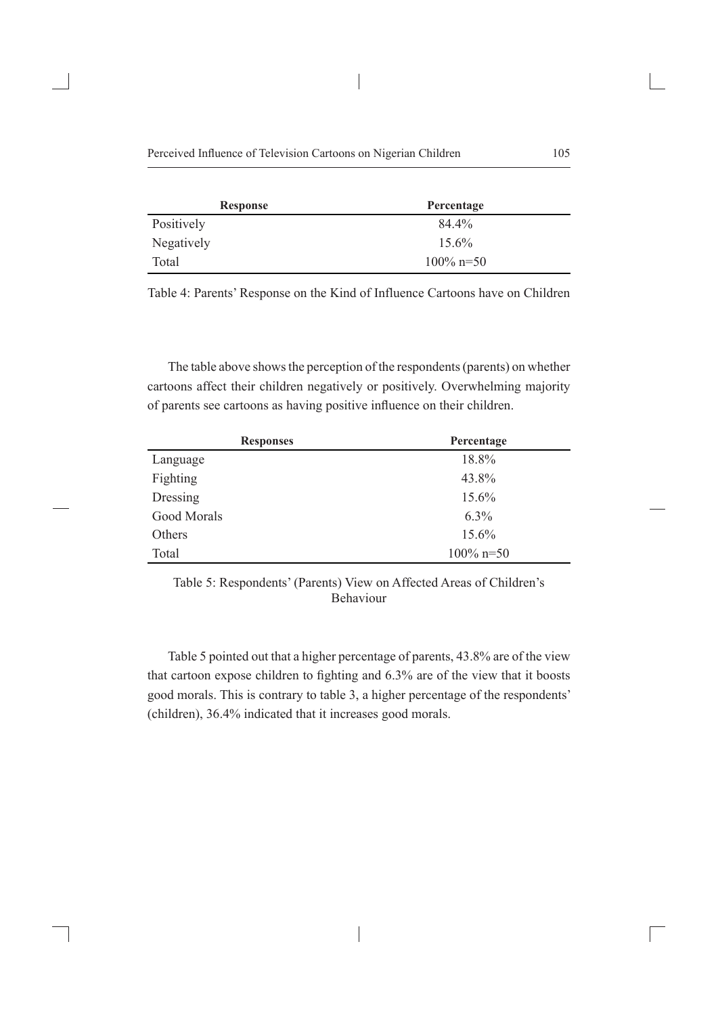| <b>Response</b> | Percentage   |  |
|-----------------|--------------|--|
| Positively      | 84.4%        |  |
| Negatively      | $15.6\%$     |  |
| Total           | $100\%$ n=50 |  |

Table 4: Parents' Response on the Kind of Influence Cartoons have on Children

The table above shows the perception of the respondents (parents) on whether cartoons affect their children negatively or positively. Overwhelming majority of parents see cartoons as having positive influence on their children.

| <b>Responses</b> | Percentage   |  |  |
|------------------|--------------|--|--|
| Language         | 18.8%        |  |  |
| Fighting         | 43.8%        |  |  |
| Dressing         | 15.6%        |  |  |
| Good Morals      | $6.3\%$      |  |  |
| Others           | 15.6%        |  |  |
| Total            | $100\%$ n=50 |  |  |

Table 5: Respondents' (Parents) View on Affected Areas of Children's Behaviour

Table 5 pointed out that a higher percentage of parents, 43.8% are of the view that cartoon expose children to fighting and 6.3% are of the view that it boosts good morals. This is contrary to table 3, a higher percentage of the respondents' (children), 36.4% indicated that it increases good morals.

 $\begin{array}{c} \hline \end{array}$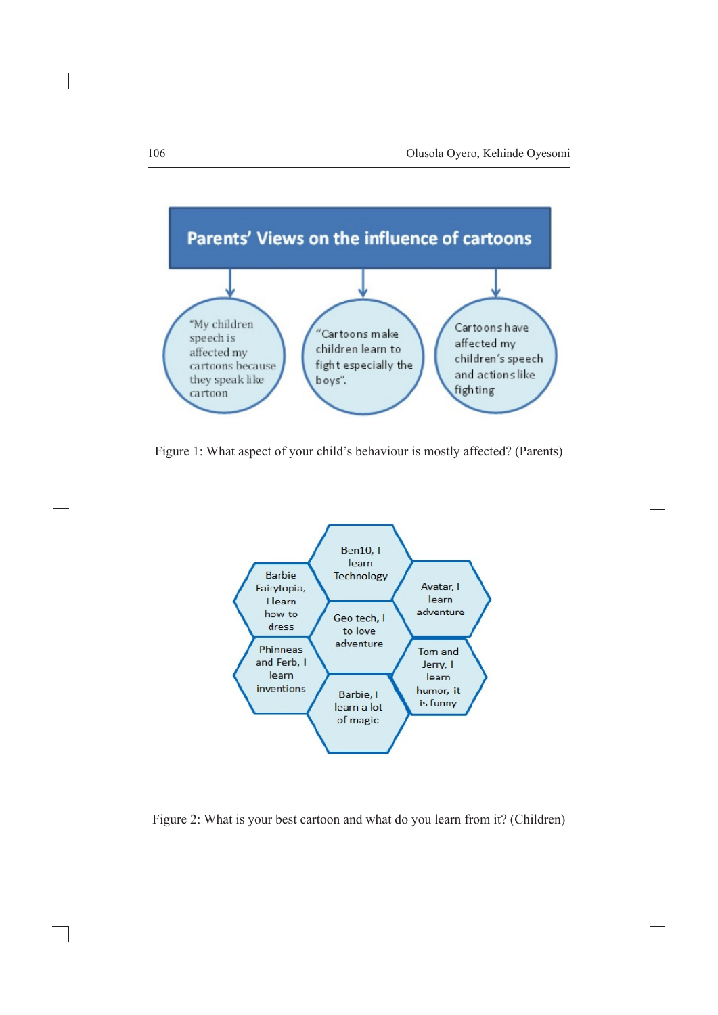

Figure 1: What aspect of your child's behaviour is mostly affected? (Parents)



Figure 2: What is your best cartoon and what do you learn from it? (Children)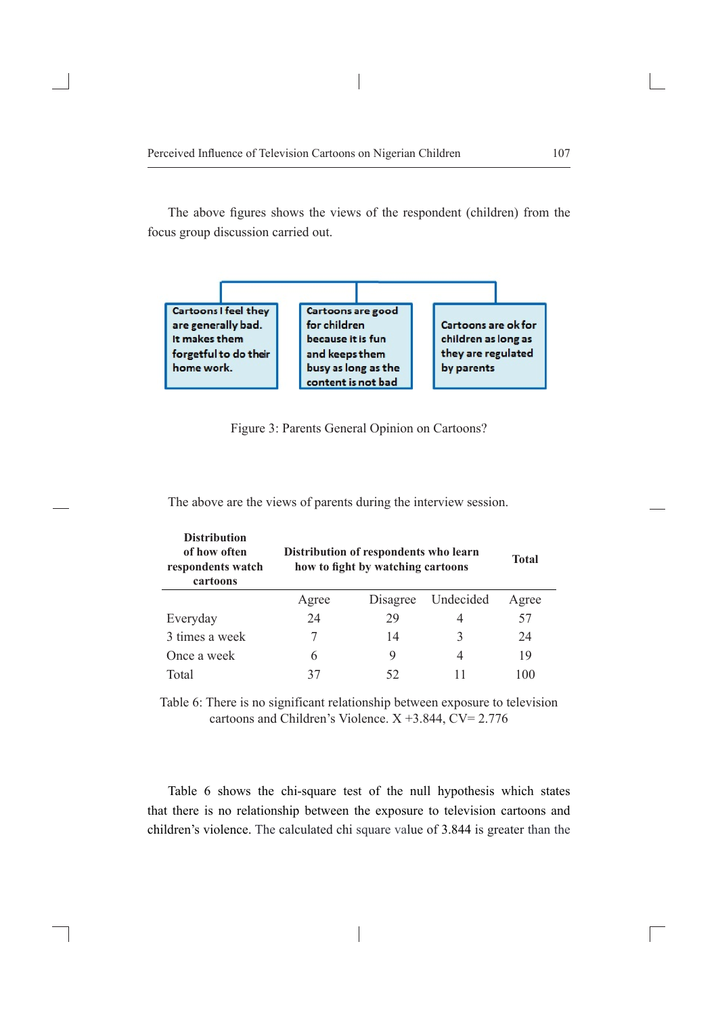The above figures shows the views of the respondent (children) from the focus group discussion carried out.





| <b>Distribution</b><br>of how often<br>respondents watch<br>cartoons | Distribution of respondents who learn<br>how to fight by watching cartoons |          |           | <b>Total</b> |
|----------------------------------------------------------------------|----------------------------------------------------------------------------|----------|-----------|--------------|
|                                                                      | Agree                                                                      | Disagree | Undecided | Agree        |
| Everyday                                                             | 24                                                                         | 29       | 4         | 57           |
| 3 times a week                                                       |                                                                            | 14       |           | 24           |
| Once a week                                                          | 6                                                                          | 9        | 4         | 19           |
| Total                                                                |                                                                            | 52       |           | 100          |

The above are the views of parents during the interview session.

Table 6: There is no significant relationship between exposure to television cartoons and Children's Violence.  $X + 3.844$ ,  $CV = 2.776$ 

Table 6 shows the chi-square test of the null hypothesis which states that there is no relationship between the exposure to television cartoons and children's violence. The calculated chi square value of 3.844 is greater than the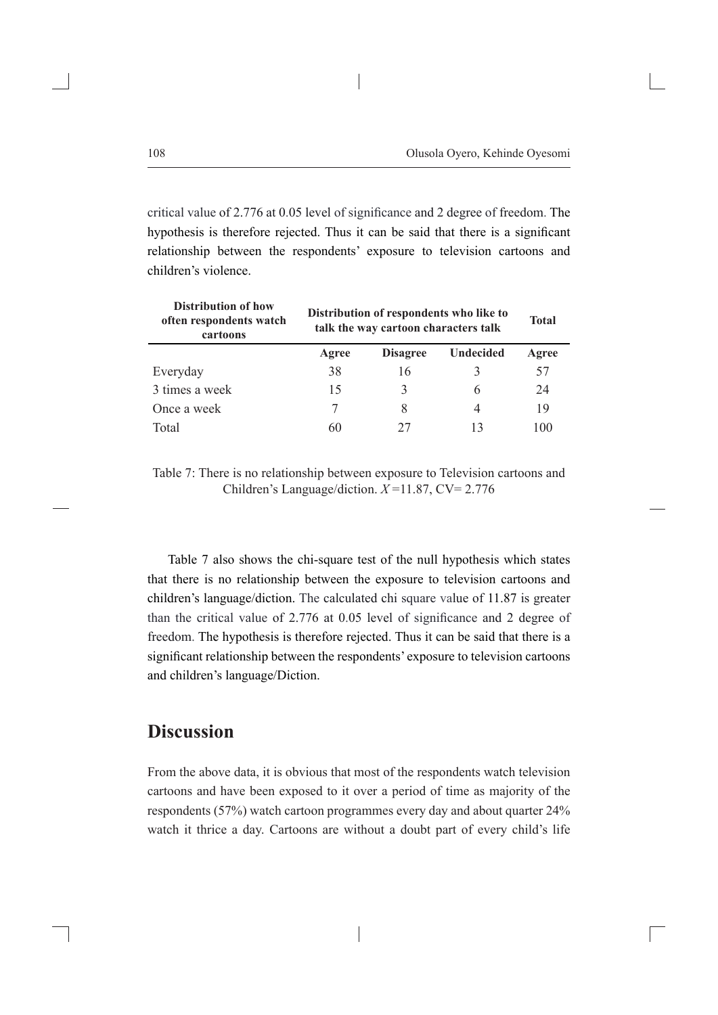critical value of 2.776 at 0.05 level of significance and 2 degree of freedom. The hypothesis is therefore rejected. Thus it can be said that there is a significant relationship between the respondents' exposure to television cartoons and children's violence.

| <b>Distribution of how</b><br>often respondents watch<br>cartoons | Distribution of respondents who like to<br>talk the way cartoon characters talk |                 |                  | <b>Total</b> |
|-------------------------------------------------------------------|---------------------------------------------------------------------------------|-----------------|------------------|--------------|
|                                                                   | Agree                                                                           | <b>Disagree</b> | <b>Undecided</b> | Agree        |
| Everyday                                                          | 38                                                                              | 16              | 3                | 57           |
| 3 times a week                                                    | 15                                                                              |                 | 6                | 24           |
| Once a week                                                       |                                                                                 |                 | 4                | 19           |
| Total                                                             | 60                                                                              | 27              | 13               | 100          |

Table 7: There is no relationship between exposure to Television cartoons and Children's Language/diction. *X* =11.87, CV= 2.776

Table 7 also shows the chi-square test of the null hypothesis which states that there is no relationship between the exposure to television cartoons and children's language/diction. The calculated chi square value of 11.87 is greater than the critical value of 2.776 at 0.05 level of significance and 2 degree of freedom. The hypothesis is therefore rejected. Thus it can be said that there is a significant relationship between the respondents' exposure to television cartoons and children's language/Diction.

### **Discussion**

From the above data, it is obvious that most of the respondents watch television cartoons and have been exposed to it over a period of time as majority of the respondents (57%) watch cartoon programmes every day and about quarter 24% watch it thrice a day. Cartoons are without a doubt part of every child's life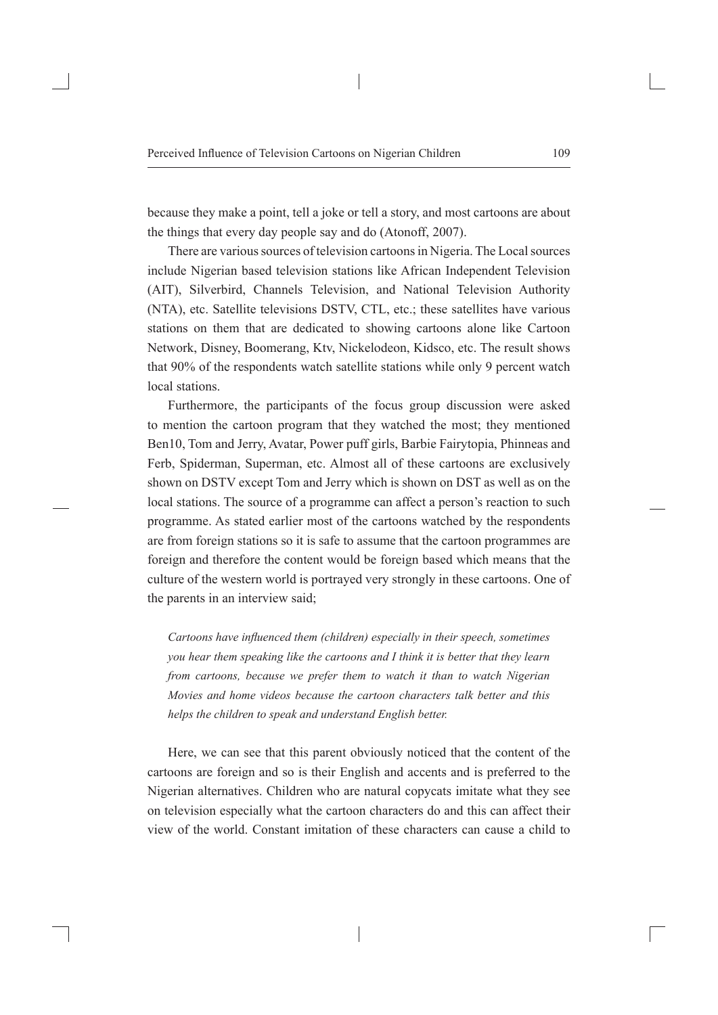because they make a point, tell a joke or tell a story, and most cartoons are about the things that every day people say and do (Atonoff, 2007).

There are various sources of television cartoons in Nigeria. The Local sources include Nigerian based television stations like African Independent Television (AIT), Silverbird, Channels Television, and National Television Authority (NTA), etc. Satellite televisions DSTV, CTL, etc.; these satellites have various stations on them that are dedicated to showing cartoons alone like Cartoon Network, Disney, Boomerang, Ktv, Nickelodeon, Kidsco, etc. The result shows that 90% of the respondents watch satellite stations while only 9 percent watch local stations.

Furthermore, the participants of the focus group discussion were asked to mention the cartoon program that they watched the most; they mentioned Ben10, Tom and Jerry, Avatar, Power puff girls, Barbie Fairytopia, Phinneas and Ferb, Spiderman, Superman, etc. Almost all of these cartoons are exclusively shown on DSTV except Tom and Jerry which is shown on DST as well as on the local stations. The source of a programme can affect a person's reaction to such programme. As stated earlier most of the cartoons watched by the respondents are from foreign stations so it is safe to assume that the cartoon programmes are foreign and therefore the content would be foreign based which means that the culture of the western world is portrayed very strongly in these cartoons. One of the parents in an interview said;

*Cartoons have influenced them (children) especially in their speech, sometimes you hear them speaking like the cartoons and I think it is better that they learn from cartoons, because we prefer them to watch it than to watch Nigerian Movies and home videos because the cartoon characters talk better and this helps the children to speak and understand English better.*

Here, we can see that this parent obviously noticed that the content of the cartoons are foreign and so is their English and accents and is preferred to the Nigerian alternatives. Children who are natural copycats imitate what they see on television especially what the cartoon characters do and this can affect their view of the world. Constant imitation of these characters can cause a child to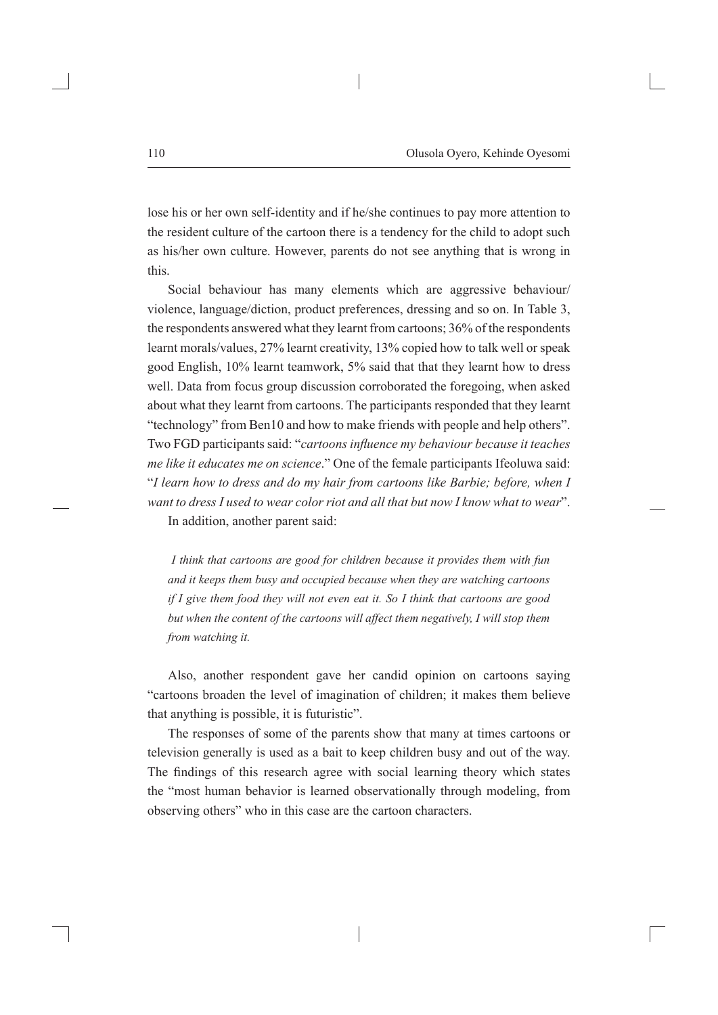lose his or her own self-identity and if he/she continues to pay more attention to the resident culture of the cartoon there is a tendency for the child to adopt such as his/her own culture. However, parents do not see anything that is wrong in this.

Social behaviour has many elements which are aggressive behaviour/ violence, language/diction, product preferences, dressing and so on. In Table 3, the respondents answered what they learnt from cartoons; 36% of the respondents learnt morals/values, 27% learnt creativity, 13% copied how to talk well or speak good English, 10% learnt teamwork, 5% said that that they learnt how to dress well. Data from focus group discussion corroborated the foregoing, when asked about what they learnt from cartoons. The participants responded that they learnt "technology" from Ben10 and how to make friends with people and help others". Two FGD participants said: "*cartoons influence my behaviour because it teaches me like it educates me on science*." One of the female participants Ifeoluwa said: "*I learn how to dress and do my hair from cartoons like Barbie; before, when I want to dress I used to wear color riot and all that but now I know what to wear*". In addition, another parent said:

*I think that cartoons are good for children because it provides them with fun and it keeps them busy and occupied because when they are watching cartoons if I give them food they will not even eat it. So I think that cartoons are good but when the content of the cartoons will affect them negatively, I will stop them from watching it.*

Also, another respondent gave her candid opinion on cartoons saying "cartoons broaden the level of imagination of children; it makes them believe that anything is possible, it is futuristic".

The responses of some of the parents show that many at times cartoons or television generally is used as a bait to keep children busy and out of the way. The findings of this research agree with social learning theory which states the "most human behavior is learned observationally through modeling, from observing others" who in this case are the cartoon characters.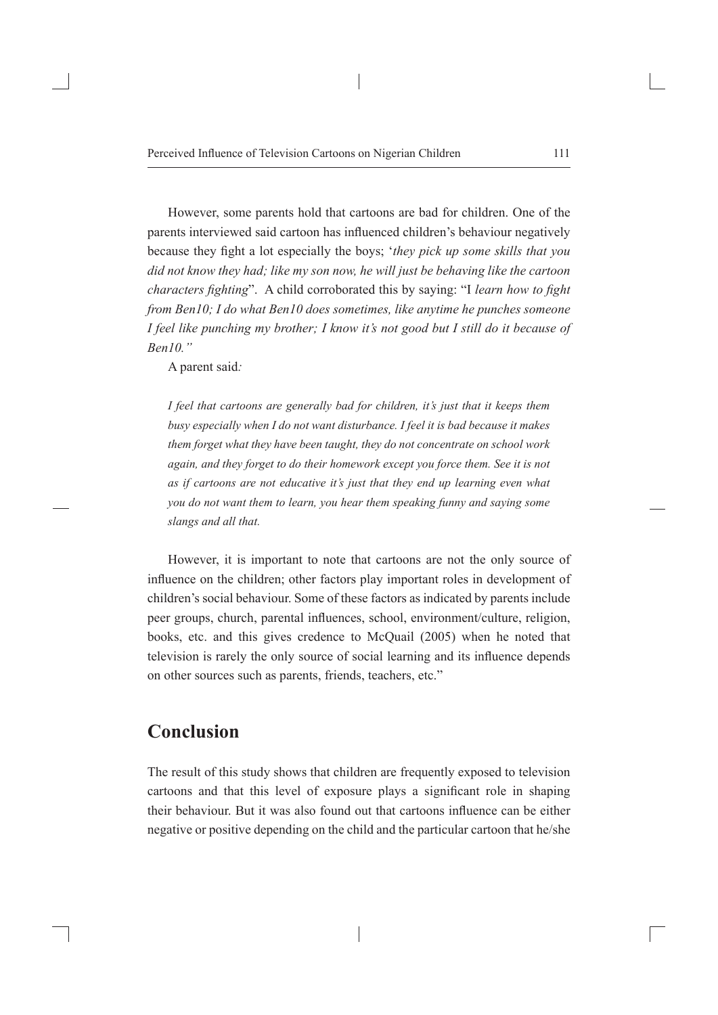However, some parents hold that cartoons are bad for children. One of the parents interviewed said cartoon has influenced children's behaviour negatively because they fight a lot especially the boys; '*they pick up some skills that you did not know they had; like my son now, he will just be behaving like the cartoon characters fighting*". A child corroborated this by saying: "I *learn how to fight from Ben10; I do what Ben10 does sometimes, like anytime he punches someone I feel like punching my brother; I know it's not good but I still do it because of Ben10."*

A parent said*:* 

*I feel that cartoons are generally bad for children, it's just that it keeps them busy especially when I do not want disturbance. I feel it is bad because it makes them forget what they have been taught, they do not concentrate on school work again, and they forget to do their homework except you force them. See it is not as if cartoons are not educative it's just that they end up learning even what you do not want them to learn, you hear them speaking funny and saying some slangs and all that.*

However, it is important to note that cartoons are not the only source of influence on the children; other factors play important roles in development of children's social behaviour. Some of these factors as indicated by parents include peer groups, church, parental influences, school, environment/culture, religion, books, etc. and this gives credence to McQuail (2005) when he noted that television is rarely the only source of social learning and its influence depends on other sources such as parents, friends, teachers, etc."

### **Conclusion**

The result of this study shows that children are frequently exposed to television cartoons and that this level of exposure plays a significant role in shaping their behaviour. But it was also found out that cartoons influence can be either negative or positive depending on the child and the particular cartoon that he/she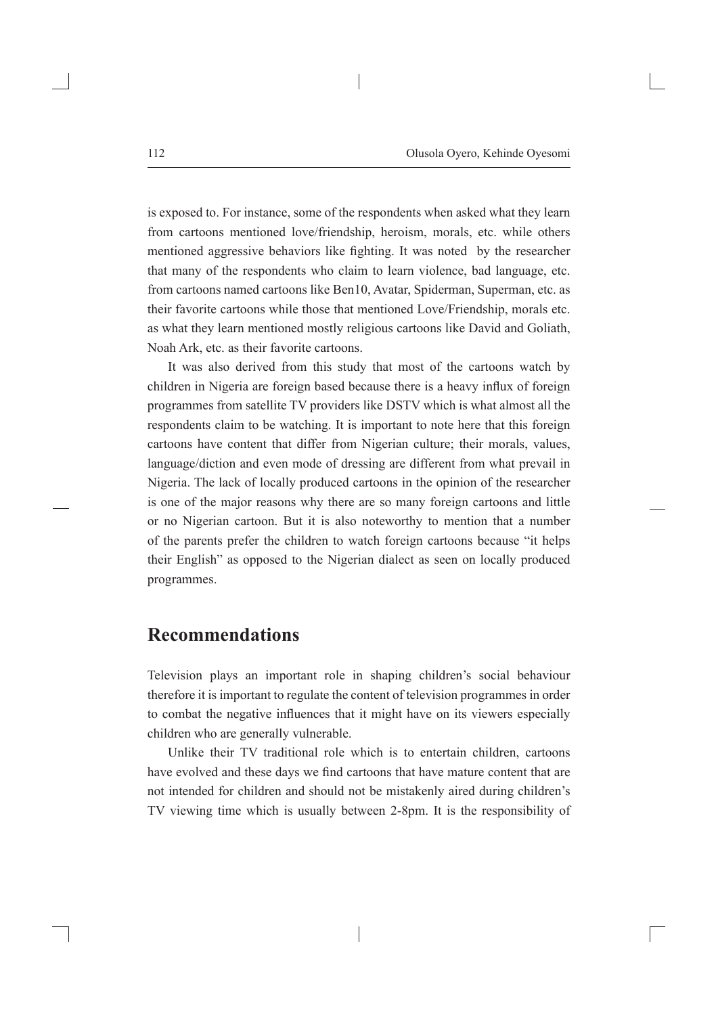is exposed to. For instance, some of the respondents when asked what they learn from cartoons mentioned love/friendship, heroism, morals, etc. while others mentioned aggressive behaviors like fighting. It was noted by the researcher that many of the respondents who claim to learn violence, bad language, etc. from cartoons named cartoons like Ben10, Avatar, Spiderman, Superman, etc. as their favorite cartoons while those that mentioned Love/Friendship, morals etc. as what they learn mentioned mostly religious cartoons like David and Goliath, Noah Ark, etc. as their favorite cartoons.

It was also derived from this study that most of the cartoons watch by children in Nigeria are foreign based because there is a heavy influx of foreign programmes from satellite TV providers like DSTV which is what almost all the respondents claim to be watching. It is important to note here that this foreign cartoons have content that differ from Nigerian culture; their morals, values, language/diction and even mode of dressing are different from what prevail in Nigeria. The lack of locally produced cartoons in the opinion of the researcher is one of the major reasons why there are so many foreign cartoons and little or no Nigerian cartoon. But it is also noteworthy to mention that a number of the parents prefer the children to watch foreign cartoons because "it helps their English" as opposed to the Nigerian dialect as seen on locally produced programmes.

## **Recommendations**

Television plays an important role in shaping children's social behaviour therefore it is important to regulate the content of television programmes in order to combat the negative influences that it might have on its viewers especially children who are generally vulnerable.

Unlike their TV traditional role which is to entertain children, cartoons have evolved and these days we find cartoons that have mature content that are not intended for children and should not be mistakenly aired during children's TV viewing time which is usually between 2-8pm. It is the responsibility of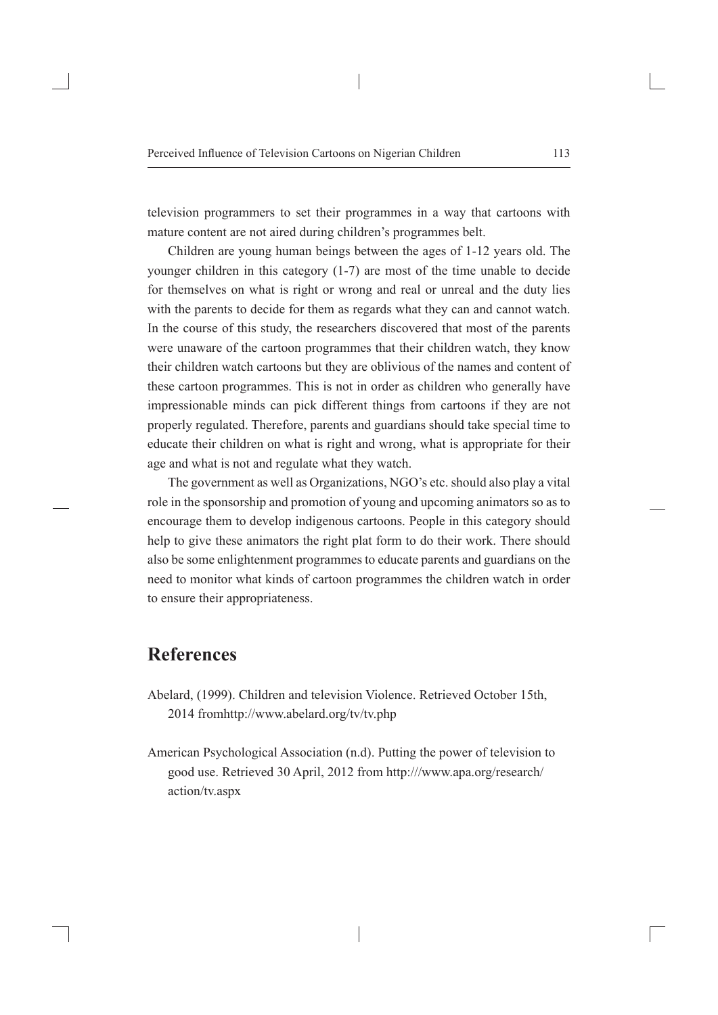television programmers to set their programmes in a way that cartoons with mature content are not aired during children's programmes belt.

Children are young human beings between the ages of 1-12 years old. The younger children in this category (1-7) are most of the time unable to decide for themselves on what is right or wrong and real or unreal and the duty lies with the parents to decide for them as regards what they can and cannot watch. In the course of this study, the researchers discovered that most of the parents were unaware of the cartoon programmes that their children watch, they know their children watch cartoons but they are oblivious of the names and content of these cartoon programmes. This is not in order as children who generally have impressionable minds can pick different things from cartoons if they are not properly regulated. Therefore, parents and guardians should take special time to educate their children on what is right and wrong, what is appropriate for their age and what is not and regulate what they watch.

The government as well as Organizations, NGO's etc. should also play a vital role in the sponsorship and promotion of young and upcoming animators so as to encourage them to develop indigenous cartoons. People in this category should help to give these animators the right plat form to do their work. There should also be some enlightenment programmes to educate parents and guardians on the need to monitor what kinds of cartoon programmes the children watch in order to ensure their appropriateness.

# **References**

- Abelard, (1999). Children and television Violence. Retrieved October 15th, 2014 fromhttp://www.abelard.org/tv/tv.php
- American Psychological Association (n.d). Putting the power of television to good use. Retrieved 30 April, 2012 from http:///www.apa.org/research/ action/tv.aspx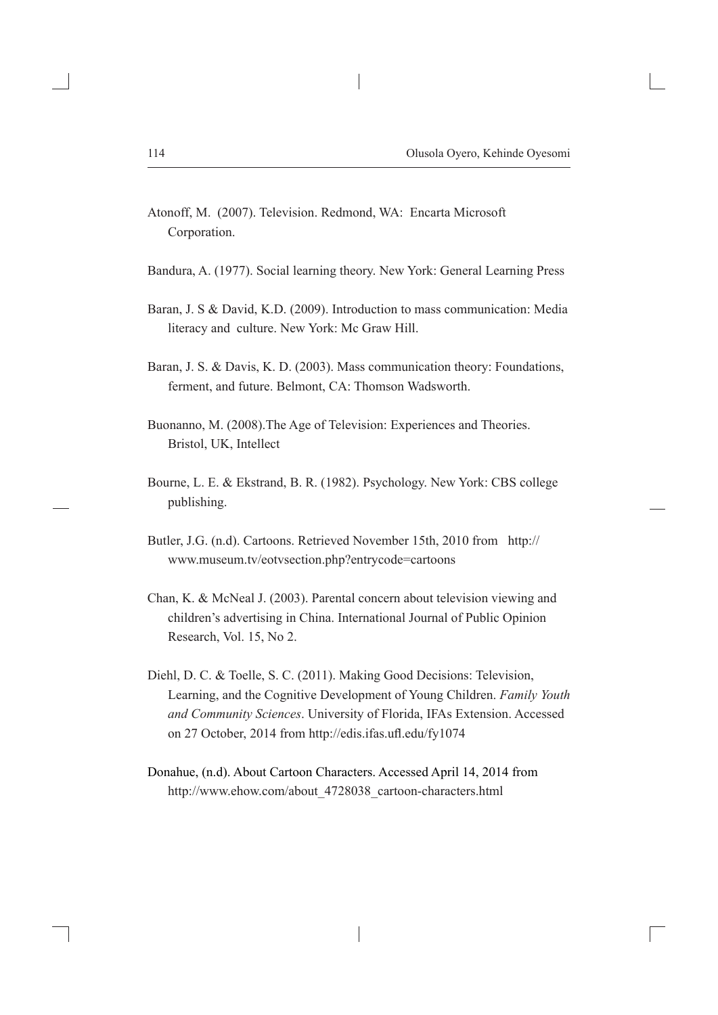- Atonoff, M. (2007). Television. Redmond, WA: Encarta Microsoft Corporation.
- Bandura, A. (1977). Social learning theory. New York: General Learning Press
- Baran, J. S & David, K.D. (2009). Introduction to mass communication: Media literacy and culture. New York: Mc Graw Hill.
- Baran, J. S. & Davis, K. D. (2003). Mass communication theory: Foundations, ferment, and future. Belmont, CA: Thomson Wadsworth.
- Buonanno, M. (2008).The Age of Television: Experiences and Theories. Bristol, UK, Intellect
- Bourne, L. E. & Ekstrand, B. R. (1982). Psychology. New York: CBS college publishing.
- Butler, J.G. (n.d). Cartoons. Retrieved November 15th, 2010 from http:// www.museum.tv/eotvsection.php?entrycode=cartoons
- Chan, K. & McNeal J. (2003). Parental concern about television viewing and children's advertising in China. International Journal of Public Opinion Research, Vol. 15, No 2.
- Diehl, D. C. & Toelle, S. C. (2011). Making Good Decisions: Television, Learning, and the Cognitive Development of Young Children. *Family Youth and Community Sciences*. University of Florida, IFAs Extension. Accessed on 27 October, 2014 from http://edis.ifas.ufl.edu/fy1074
- Donahue, (n.d). About Cartoon Characters. Accessed April 14, 2014 from http://www.ehow.com/about\_4728038\_cartoon-characters.html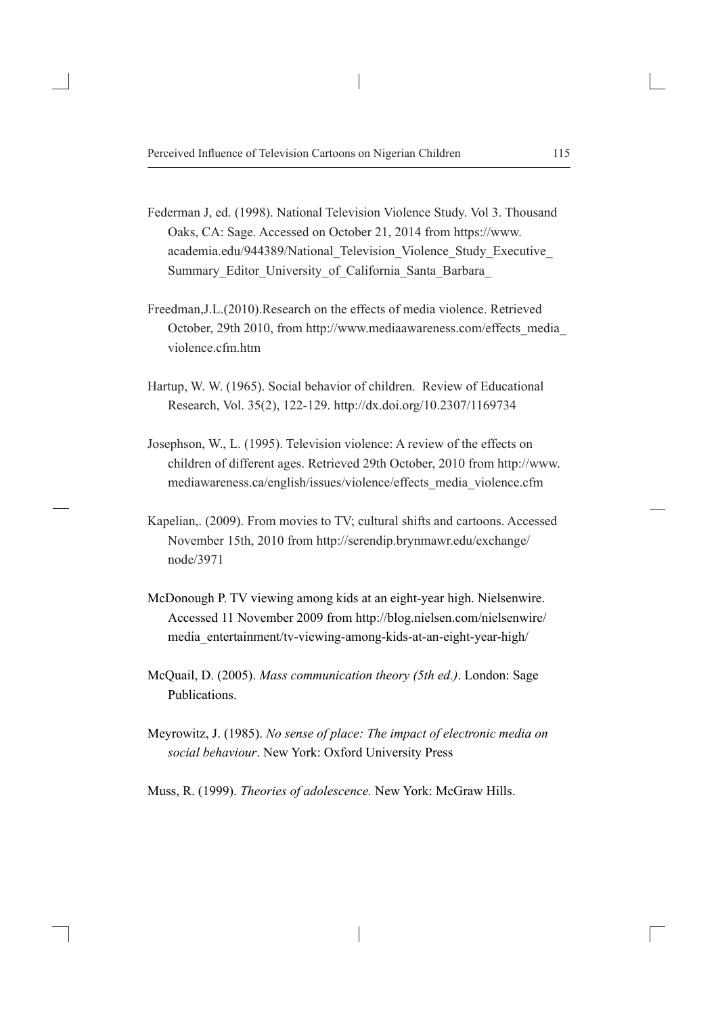- Federman J, ed. (1998). National Television Violence Study. Vol 3. Thousand Oaks, CA: Sage. Accessed on October 21, 2014 from https://www. academia.edu/944389/National\_Television\_Violence\_Study\_Executive\_ Summary Editor University of California Santa Barbara
- Freedman,J.L.(2010).Research on the effects of media violence. Retrieved October, 29th 2010, from http://www.mediaawareness.com/effects\_media\_ violence.cfm.htm
- Hartup, W. W. (1965). Social behavior of children. Review of Educational Research, Vol. 35(2), 122-129. http://dx.doi.org/10.2307/1169734
- Josephson, W., L. (1995). Television violence: A review of the effects on children of different ages. Retrieved 29th October, 2010 from http://www. mediawareness.ca/english/issues/violence/effects\_media\_violence.cfm
- Kapelian,. (2009). From movies to TV; cultural shifts and cartoons. Accessed November 15th, 2010 from http://serendip.brynmawr.edu/exchange/ node/3971
- McDonough P. TV viewing among kids at an eight-year high. Nielsenwire. Accessed 11 November 2009 from http://blog.nielsen.com/nielsenwire/ media\_entertainment/tv-viewing-among-kids-at-an-eight-year-high/
- McQuail, D. (2005). *Mass communication theory (5th ed.)*. London: Sage Publications.
- Meyrowitz, J. (1985). *No sense of place: The impact of electronic media on social behaviour*. New York: Oxford University Press

Muss, R. (1999). *Theories of adolescence.* New York: McGraw Hills.